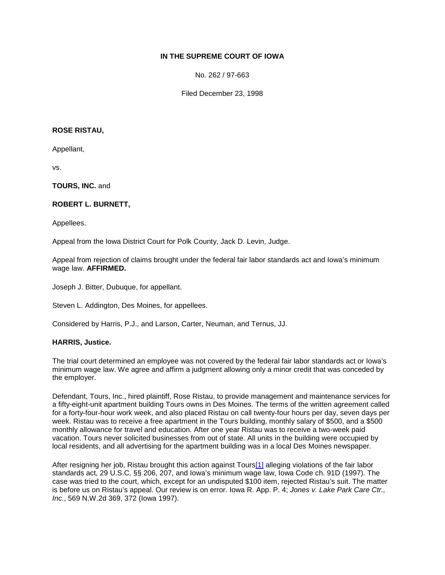# **IN THE SUPREME COURT OF IOWA**

No. 262 / 97-663

Filed December 23, 1998

### **ROSE RISTAU,**

Appellant,

vs.

**TOURS, INC.** and

## **ROBERT L. BURNETT,**

Appellees.

Appeal from the Iowa District Court for Polk County, Jack D. Levin, Judge.

Appeal from rejection of claims brought under the federal fair labor standards act and Iowa's minimum wage law. **AFFIRMED.**

Joseph J. Bitter, Dubuque, for appellant.

Steven L. Addington, Des Moines, for appellees.

Considered by Harris, P.J., and Larson, Carter, Neuman, and Ternus, JJ.

#### **HARRIS, Justice.**

The trial court determined an employee was not covered by the federal fair labor standards act or Iowa's minimum wage law. We agree and affirm a judgment allowing only a minor credit that was conceded by the employer.

Defendant, Tours, Inc., hired plaintiff, Rose Ristau, to provide management and maintenance services for a fifty-eight-unit apartment building Tours owns in Des Moines. The terms of the written agreement called for a forty-four-hour work week, and also placed Ristau on call twenty-four hours per day, seven days per week. Ristau was to receive a free apartment in the Tours building, monthly salary of \$500, and a \$500 monthly allowance for travel and education. After one year Ristau was to receive a two-week paid vacation. Tours never solicited businesses from out of state. All units in the building were occupied by local residents, and all advertising for the apartment building was in a local Des Moines newspaper.

After resigning her job, Ristau brought this action against Tour[s\[1\]](http://www.iowacourts.gov/About_the_Courts/Supreme_Court/Supreme_Court_Opinions/Recent_Opinions/19981223/97-0663.asp?Printable=true#fn1) alleging violations of the fair labor standards act, 29 U.S.C. §§ 206, 207, and Iowa's minimum wage law, Iowa Code ch. 91D (1997). The case was tried to the court, which, except for an undisputed \$100 item, rejected Ristau's suit. The matter is before us on Ristau's appeal. Our review is on error. Iowa R. App. P. 4; *Jones v. Lake Park Care Ctr., Inc.*, 569 N.W.2d 369, 372 (Iowa 1997).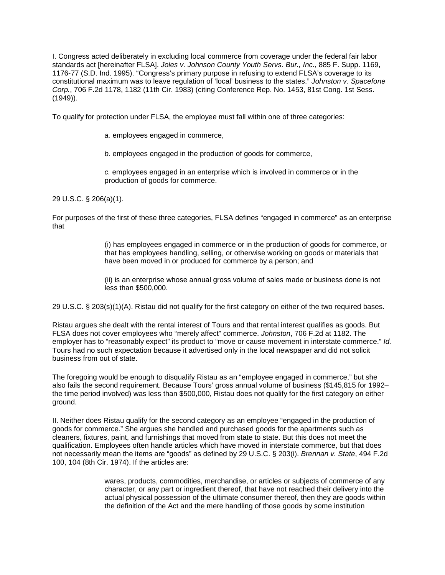I. Congress acted deliberately in excluding local commerce from coverage under the federal fair labor standards act [hereinafter FLSA]. *Joles v. Johnson County Youth Servs. Bur., Inc.*, 885 F. Supp. 1169, 1176-77 (S.D. Ind. 1995). "Congress's primary purpose in refusing to extend FLSA's coverage to its constitutional maximum was to leave regulation of 'local' business to the states." *Johnston v. Spacefone Corp.*, 706 F.2d 1178, 1182 (11th Cir. 1983) (citing Conference Rep. No. 1453, 81st Cong. 1st Sess. (1949))*.*

To qualify for protection under FLSA, the employee must fall within one of three categories:

- *a.* employees engaged in commerce,
- *b.* employees engaged in the production of goods for commerce,
- *c.* employees engaged in an enterprise which is involved in commerce or in the production of goods for commerce.

29 U.S.C. § 206(a)(1).

For purposes of the first of these three categories, FLSA defines "engaged in commerce" as an enterprise that

> (i) has employees engaged in commerce or in the production of goods for commerce, or that has employees handling, selling, or otherwise working on goods or materials that have been moved in or produced for commerce by a person; and

(ii) is an enterprise whose annual gross volume of sales made or business done is not less than \$500,000.

29 U.S.C. § 203(s)(1)(A). Ristau did not qualify for the first category on either of the two required bases.

Ristau argues she dealt with the rental interest of Tours and that rental interest qualifies as goods. But FLSA does not cover employees who "merely affect" commerce. *Johnston*, 706 F.2d at 1182. The employer has to "reasonably expect" its product to "move or cause movement in interstate commerce." *Id.* Tours had no such expectation because it advertised only in the local newspaper and did not solicit business from out of state.

The foregoing would be enough to disqualify Ristau as an "employee engaged in commerce," but she also fails the second requirement. Because Tours' gross annual volume of business (\$145,815 for 1992– the time period involved) was less than \$500,000, Ristau does not qualify for the first category on either ground.

II. Neither does Ristau qualify for the second category as an employee "engaged in the production of goods for commerce." She argues she handled and purchased goods for the apartments such as cleaners, fixtures, paint, and furnishings that moved from state to state. But this does not meet the qualification. Employees often handle articles which have moved in interstate commerce, but that does not necessarily mean the items are "goods" as defined by 29 U.S.C. § 203(i). *Brennan v. State*, 494 F.2d 100, 104 (8th Cir. 1974). If the articles are:

> wares, products, commodities, merchandise, or articles or subjects of commerce of any character, or any part or ingredient thereof, that have not reached their delivery into the actual physical possession of the ultimate consumer thereof, then they are goods within the definition of the Act and the mere handling of those goods by some institution